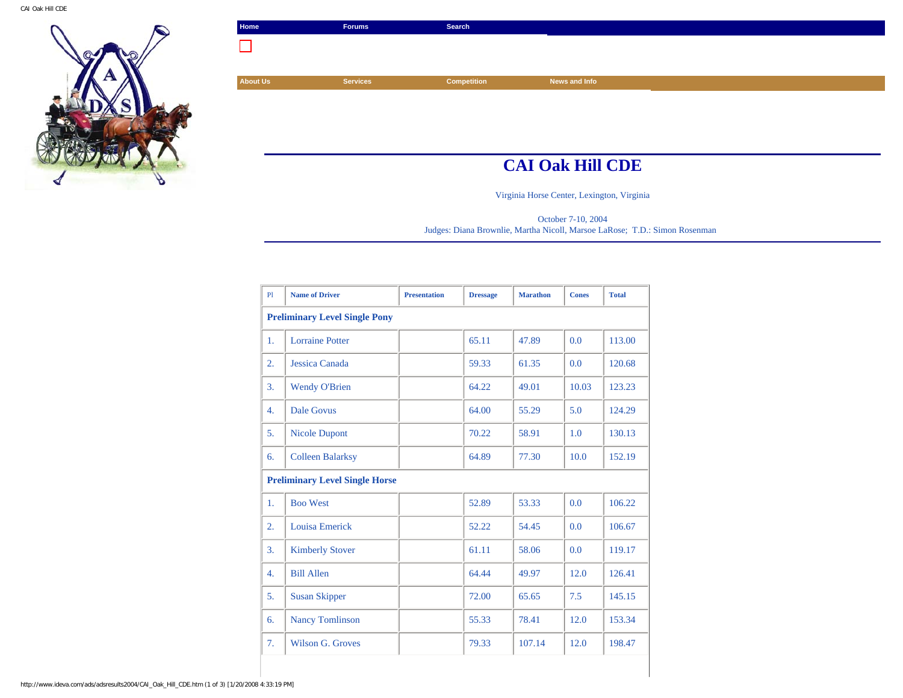

| Home            | Forums          | Search             |               |
|-----------------|-----------------|--------------------|---------------|
|                 |                 |                    |               |
|                 |                 |                    |               |
| <b>About Us</b> | <b>Services</b> | <b>Competition</b> | News and Info |
|                 |                 |                    |               |
|                 |                 |                    |               |
|                 |                 |                    |               |
|                 |                 |                    |               |

## **CAI Oak Hill CDE**

Virginia Horse Center, Lexington, Virginia

October 7-10, 2004 Judges: Diana Brownlie, Martha Nicoll, Marsoe LaRose; T.D.: Simon Rosenman

| P1                                    | <b>Name of Driver</b>   | <b>Presentation</b> | <b>Dressage</b> | <b>Marathon</b> | <b>Cones</b> | <b>Total</b> |  |
|---------------------------------------|-------------------------|---------------------|-----------------|-----------------|--------------|--------------|--|
| <b>Preliminary Level Single Pony</b>  |                         |                     |                 |                 |              |              |  |
| 1.                                    | <b>Lorraine Potter</b>  |                     | 65.11           | 47.89           | 0.0          | 113.00       |  |
| $\overline{2}$ .                      | Jessica Canada          |                     | 59.33           | 61.35           | 0.0          | 120.68       |  |
| 3.                                    | <b>Wendy O'Brien</b>    |                     | 64.22           | 49.01           | 10.03        | 123.23       |  |
| 4.                                    | <b>Dale Govus</b>       |                     | 64.00           | 55.29           | 5.0          | 124.29       |  |
| 5.                                    | <b>Nicole Dupont</b>    |                     | 70.22           | 58.91           | 1.0          | 130.13       |  |
| 6.                                    | <b>Colleen Balarksy</b> |                     | 64.89           | 77.30           | 10.0         | 152.19       |  |
| <b>Preliminary Level Single Horse</b> |                         |                     |                 |                 |              |              |  |
| 1.                                    | <b>Boo West</b>         |                     | 52.89           | 53.33           | 0.0          | 106.22       |  |
| 2.                                    | Louisa Emerick          |                     | 52.22           | 54.45           | 0.0          | 106.67       |  |
| 3.                                    | <b>Kimberly Stover</b>  |                     | 61.11           | 58.06           | 0.0          | 119.17       |  |
| 4.                                    | <b>Bill Allen</b>       |                     | 64.44           | 49.97           | 12.0         | 126.41       |  |
| 5.                                    | <b>Susan Skipper</b>    |                     | 72.00           | 65.65           | 7.5          | 145.15       |  |
| 6.                                    | <b>Nancy Tomlinson</b>  |                     | 55.33           | 78.41           | 12.0         | 153.34       |  |
| 7.                                    | Wilson G. Groves        |                     | 79.33           | 107.14          | 12.0         | 198.47       |  |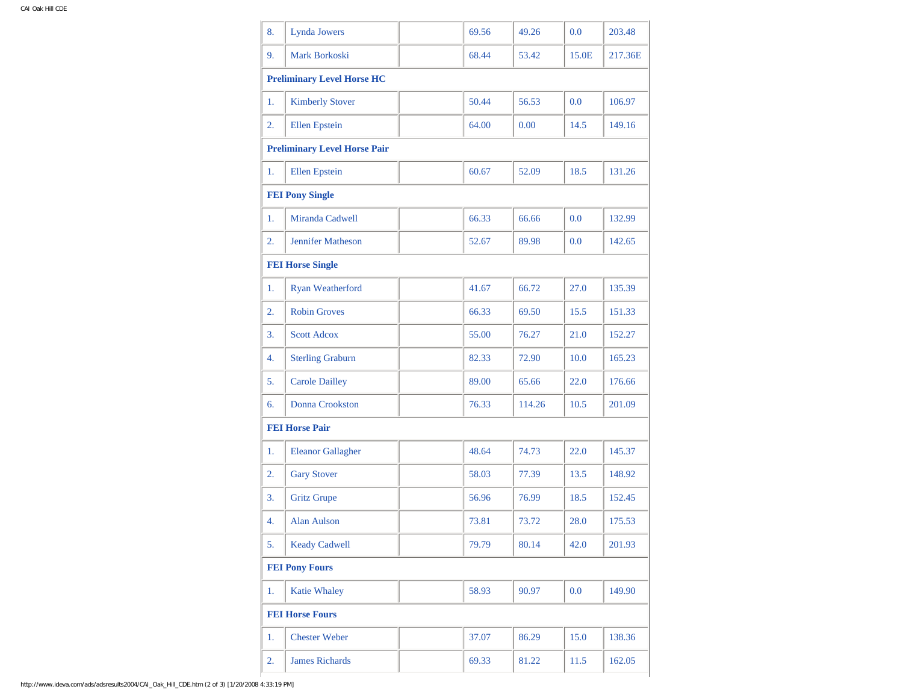| 8. | Lynda Jowers                        | 69.56 | 49.26  | 0.0   | 203.48  |
|----|-------------------------------------|-------|--------|-------|---------|
| 9. | Mark Borkoski                       | 68.44 | 53.42  | 15.0E | 217.36E |
|    | <b>Preliminary Level Horse HC</b>   |       |        |       |         |
| 1. | <b>Kimberly Stover</b>              | 50.44 | 56.53  | 0.0   | 106.97  |
| 2. | <b>Ellen</b> Epstein                | 64.00 | 0.00   | 14.5  | 149.16  |
|    | <b>Preliminary Level Horse Pair</b> |       |        |       |         |
| 1. | <b>Ellen</b> Epstein                | 60.67 | 52.09  | 18.5  | 131.26  |
|    | <b>FEI Pony Single</b>              |       |        |       |         |
| 1. | Miranda Cadwell                     | 66.33 | 66.66  | 0.0   | 132.99  |
| 2. | <b>Jennifer Matheson</b>            | 52.67 | 89.98  | 0.0   | 142.65  |
|    | <b>FEI Horse Single</b>             |       |        |       |         |
| 1. | Ryan Weatherford                    | 41.67 | 66.72  | 27.0  | 135.39  |
| 2. | <b>Robin Groves</b>                 | 66.33 | 69.50  | 15.5  | 151.33  |
| 3. | <b>Scott Adcox</b>                  | 55.00 | 76.27  | 21.0  | 152.27  |
| 4. | <b>Sterling Graburn</b>             | 82.33 | 72.90  | 10.0  | 165.23  |
| 5. | <b>Carole Dailley</b>               | 89.00 | 65.66  | 22.0  | 176.66  |
| 6. | Donna Crookston                     | 76.33 | 114.26 | 10.5  | 201.09  |
|    | <b>FEI Horse Pair</b>               |       |        |       |         |
| 1. | <b>Eleanor Gallagher</b>            | 48.64 | 74.73  | 22.0  | 145.37  |
| 2. | <b>Gary Stover</b>                  | 58.03 | 77.39  | 13.5  | 148.92  |
| 3. | <b>Gritz Grupe</b>                  | 56.96 | 76.99  | 18.5  | 152.45  |
| 4. | <b>Alan Aulson</b>                  | 73.81 | 73.72  | 28.0  | 175.53  |
| 5. | <b>Keady Cadwell</b>                | 79.79 | 80.14  | 42.0  | 201.93  |
|    | <b>FEI Pony Fours</b>               |       |        |       |         |
| 1. | <b>Katie Whaley</b>                 | 58.93 | 90.97  | 0.0   | 149.90  |
|    | <b>FEI Horse Fours</b>              |       |        |       |         |
| 1. | <b>Chester Weber</b>                | 37.07 | 86.29  | 15.0  | 138.36  |
| 2. | <b>James Richards</b>               | 69.33 | 81.22  | 11.5  | 162.05  |